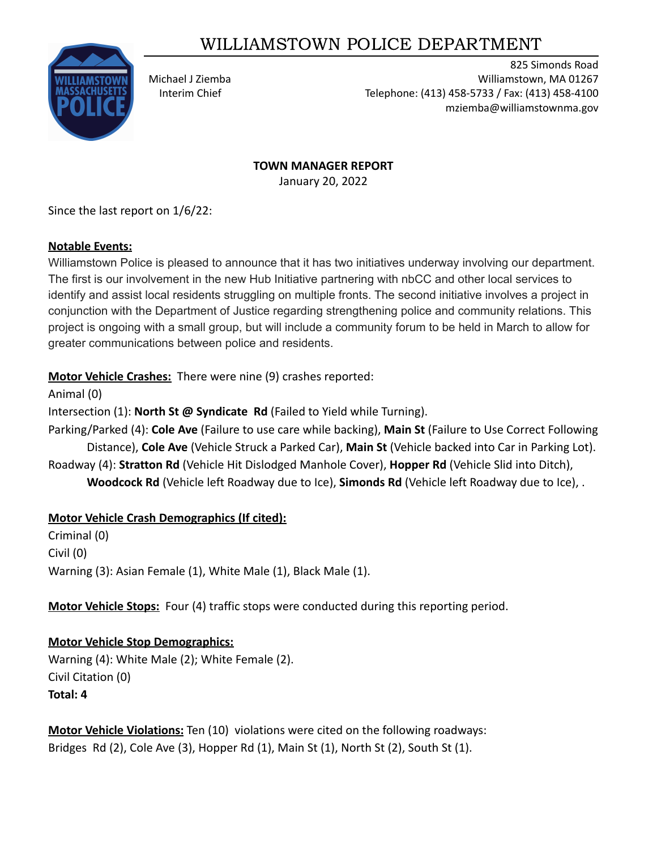# WILLIAMSTOWN POLICE DEPARTMENT



825 Simonds Road Michael J Ziemba Williamstown, MA 01267 Interim Chief Telephone: (413) 458-5733 / Fax: (413) 458-4100 mziemba@williamstownma.gov

#### **TOWN MANAGER REPORT**

January 20, 2022

Since the last report on 1/6/22:

### **Notable Events:**

Williamstown Police is pleased to announce that it has two initiatives underway involving our department. The first is our involvement in the new Hub Initiative partnering with nbCC and other local services to identify and assist local residents struggling on multiple fronts. The second initiative involves a project in conjunction with the Department of Justice regarding strengthening police and community relations. This project is ongoing with a small group, but will include a community forum to be held in March to allow for greater communications between police and residents.

**Motor Vehicle Crashes:** There were nine (9) crashes reported:

Animal (0)

Intersection (1): **North St @ Syndicate Rd** (Failed to Yield while Turning).

Parking/Parked (4): **Cole Ave** (Failure to use care while backing), **Main St** (Failure to Use Correct Following Distance), **Cole Ave** (Vehicle Struck a Parked Car), **Main St** (Vehicle backed into Car in Parking Lot).

Roadway (4): **Stratton Rd** (Vehicle Hit Dislodged Manhole Cover), **Hopper Rd** (Vehicle Slid into Ditch),

**Woodcock Rd** (Vehicle left Roadway due to Ice), **Simonds Rd** (Vehicle left Roadway due to Ice), .

### **Motor Vehicle Crash Demographics (If cited):**

Criminal (0) Civil (0) Warning (3): Asian Female (1), White Male (1), Black Male (1).

**Motor Vehicle Stops:** Four (4) traffic stops were conducted during this reporting period.

# **Motor Vehicle Stop Demographics:**

Warning (4): White Male (2); White Female (2). Civil Citation (0) **Total: 4**

**Motor Vehicle Violations:** Ten (10) violations were cited on the following roadways: Bridges Rd (2), Cole Ave (3), Hopper Rd (1), Main St (1), North St (2), South St (1).